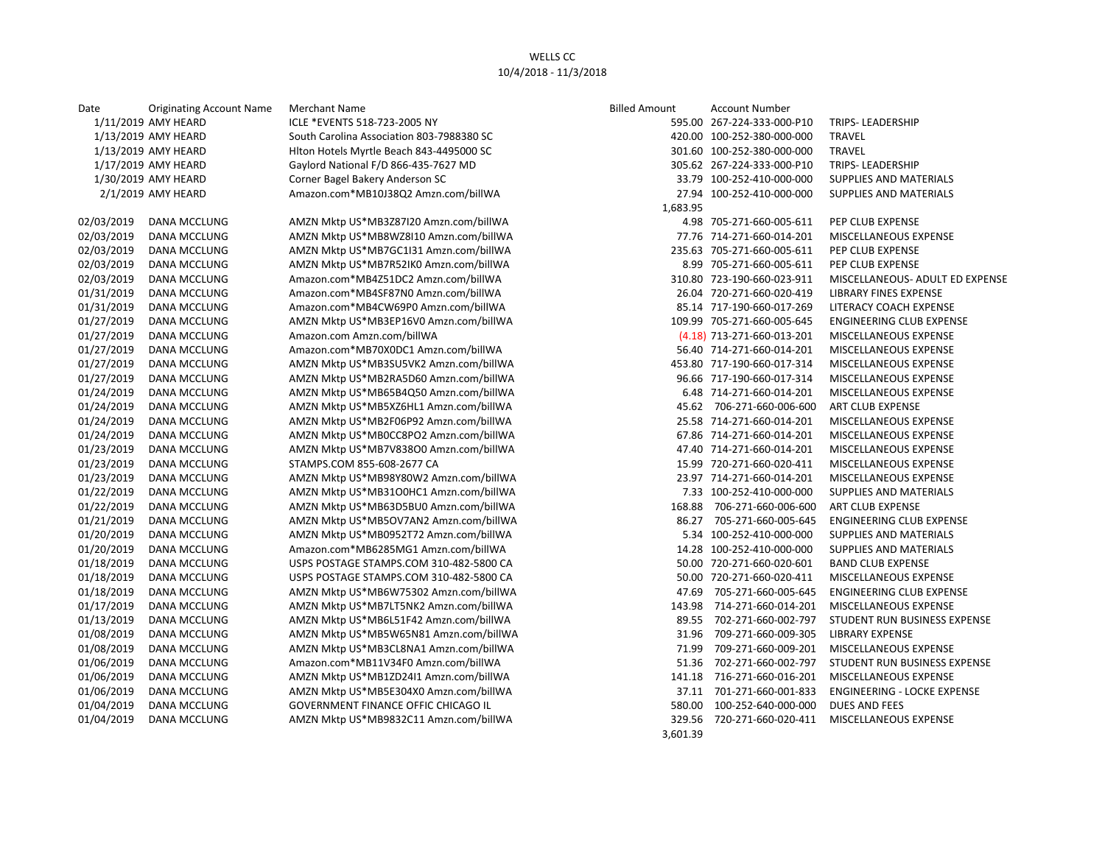| Date       | <b>Originating Account Name</b> | <b>Merchant Name</b>                       | <b>Billed Amount</b> | <b>Account Number</b>        |                                 |
|------------|---------------------------------|--------------------------------------------|----------------------|------------------------------|---------------------------------|
|            | 1/11/2019 AMY HEARD             | ICLE *EVENTS 518-723-2005 NY               |                      | 595.00 267-224-333-000-P10   | TRIPS-LEADERSHIP                |
|            | 1/13/2019 AMY HEARD             | South Carolina Association 803-7988380 SC  |                      | 420.00 100-252-380-000-000   | <b>TRAVEL</b>                   |
|            | 1/13/2019 AMY HEARD             | Hlton Hotels Myrtle Beach 843-4495000 SC   |                      | 301.60 100-252-380-000-000   | <b>TRAVEL</b>                   |
|            | 1/17/2019 AMY HEARD             | Gaylord National F/D 866-435-7627 MD       |                      | 305.62 267-224-333-000-P10   | <b>TRIPS-LEADERSHIP</b>         |
|            | 1/30/2019 AMY HEARD             | Corner Bagel Bakery Anderson SC            |                      | 33.79 100-252-410-000-000    | SUPPLIES AND MATERIALS          |
|            | 2/1/2019 AMY HEARD              | Amazon.com*MB10J38Q2 Amzn.com/billWA       |                      | 27.94 100-252-410-000-000    | <b>SUPPLIES AND MATERIALS</b>   |
|            |                                 |                                            | 1,683.95             |                              |                                 |
| 02/03/2019 | DANA MCCLUNG                    | AMZN Mktp US*MB3Z87I20 Amzn.com/billWA     |                      | 4.98 705-271-660-005-611     | PEP CLUB EXPENSE                |
| 02/03/2019 | <b>DANA MCCLUNG</b>             | AMZN Mktp US*MB8WZ8I10 Amzn.com/billWA     |                      | 77.76 714-271-660-014-201    | MISCELLANEOUS EXPENSE           |
| 02/03/2019 | DANA MCCLUNG                    | AMZN Mktp US*MB7GC1I31 Amzn.com/billWA     |                      | 235.63 705-271-660-005-611   | PEP CLUB EXPENSE                |
| 02/03/2019 | DANA MCCLUNG                    | AMZN Mktp US*MB7R52IK0 Amzn.com/billWA     |                      | 8.99 705-271-660-005-611     | PEP CLUB EXPENSE                |
| 02/03/2019 | <b>DANA MCCLUNG</b>             | Amazon.com*MB4Z51DC2 Amzn.com/billWA       |                      | 310.80 723-190-660-023-911   | MISCELLANEOUS- ADULT ED EXPENSE |
| 01/31/2019 | DANA MCCLUNG                    | Amazon.com*MB4SF87N0 Amzn.com/billWA       |                      | 26.04 720-271-660-020-419    | LIBRARY FINES EXPENSE           |
| 01/31/2019 | DANA MCCLUNG                    | Amazon.com*MB4CW69P0 Amzn.com/billWA       |                      | 85.14 717-190-660-017-269    | LITERACY COACH EXPENSE          |
| 01/27/2019 | DANA MCCLUNG                    | AMZN Mktp US*MB3EP16V0 Amzn.com/billWA     |                      | 109.99 705-271-660-005-645   | ENGINEERING CLUB EXPENSE        |
| 01/27/2019 | DANA MCCLUNG                    | Amazon.com Amzn.com/billWA                 |                      | $(4.18)$ 713-271-660-013-201 | MISCELLANEOUS EXPENSE           |
| 01/27/2019 | DANA MCCLUNG                    | Amazon.com*MB70X0DC1 Amzn.com/billWA       |                      | 56.40 714-271-660-014-201    | MISCELLANEOUS EXPENSE           |
| 01/27/2019 | DANA MCCLUNG                    | AMZN Mktp US*MB3SU5VK2 Amzn.com/billWA     |                      | 453.80 717-190-660-017-314   | MISCELLANEOUS EXPENSE           |
| 01/27/2019 | DANA MCCLUNG                    | AMZN Mktp US*MB2RA5D60 Amzn.com/billWA     |                      | 96.66 717-190-660-017-314    | MISCELLANEOUS EXPENSE           |
| 01/24/2019 | DANA MCCLUNG                    | AMZN Mktp US*MB65B4Q50 Amzn.com/billWA     |                      | 6.48 714-271-660-014-201     | MISCELLANEOUS EXPENSE           |
| 01/24/2019 | DANA MCCLUNG                    | AMZN Mktp US*MB5XZ6HL1 Amzn.com/billWA     |                      | 45.62 706-271-660-006-600    | <b>ART CLUB EXPENSE</b>         |
| 01/24/2019 | DANA MCCLUNG                    | AMZN Mktp US*MB2F06P92 Amzn.com/billWA     |                      | 25.58 714-271-660-014-201    | MISCELLANEOUS EXPENSE           |
| 01/24/2019 | DANA MCCLUNG                    | AMZN Mktp US*MB0CC8PO2 Amzn.com/billWA     |                      | 67.86 714-271-660-014-201    | MISCELLANEOUS EXPENSE           |
| 01/23/2019 | DANA MCCLUNG                    | AMZN Mktp US*MB7V83800 Amzn.com/billWA     |                      | 47.40 714-271-660-014-201    | MISCELLANEOUS EXPENSE           |
| 01/23/2019 | DANA MCCLUNG                    | STAMPS.COM 855-608-2677 CA                 |                      | 15.99 720-271-660-020-411    | MISCELLANEOUS EXPENSE           |
| 01/23/2019 | DANA MCCLUNG                    | AMZN Mktp US*MB98Y80W2 Amzn.com/billWA     |                      | 23.97 714-271-660-014-201    | MISCELLANEOUS EXPENSE           |
| 01/22/2019 | DANA MCCLUNG                    | AMZN Mktp US*MB31O0HC1 Amzn.com/billWA     |                      | 7.33 100-252-410-000-000     | <b>SUPPLIES AND MATERIALS</b>   |
| 01/22/2019 | DANA MCCLUNG                    | AMZN Mktp US*MB63D5BU0 Amzn.com/billWA     | 168.88               | 706-271-660-006-600          | <b>ART CLUB EXPENSE</b>         |
| 01/21/2019 | DANA MCCLUNG                    | AMZN Mktp US*MB5OV7AN2 Amzn.com/billWA     |                      | 86.27 705-271-660-005-645    | <b>ENGINEERING CLUB EXPENSE</b> |
| 01/20/2019 | DANA MCCLUNG                    | AMZN Mktp US*MB0952T72 Amzn.com/billWA     |                      | 5.34 100-252-410-000-000     | <b>SUPPLIES AND MATERIALS</b>   |
| 01/20/2019 | DANA MCCLUNG                    | Amazon.com*MB6285MG1 Amzn.com/billWA       |                      | 14.28 100-252-410-000-000    | SUPPLIES AND MATERIALS          |
| 01/18/2019 | DANA MCCLUNG                    | USPS POSTAGE STAMPS.COM 310-482-5800 CA    |                      | 50.00 720-271-660-020-601    | <b>BAND CLUB EXPENSE</b>        |
| 01/18/2019 | DANA MCCLUNG                    | USPS POSTAGE STAMPS.COM 310-482-5800 CA    |                      | 50.00 720-271-660-020-411    | MISCELLANEOUS EXPENSE           |
| 01/18/2019 | DANA MCCLUNG                    | AMZN Mktp US*MB6W75302 Amzn.com/billWA     | 47.69                | 705-271-660-005-645          | ENGINEERING CLUB EXPENSE        |
| 01/17/2019 | DANA MCCLUNG                    | AMZN Mktp US*MB7LT5NK2 Amzn.com/billWA     |                      | 143.98 714-271-660-014-201   | MISCELLANEOUS EXPENSE           |
| 01/13/2019 | DANA MCCLUNG                    | AMZN Mktp US*MB6L51F42 Amzn.com/billWA     | 89.55                | 702-271-660-002-797          | STUDENT RUN BUSINESS EXPENSE    |
| 01/08/2019 | DANA MCCLUNG                    | AMZN Mktp US*MB5W65N81 Amzn.com/billWA     |                      | 31.96 709-271-660-009-305    | <b>LIBRARY EXPENSE</b>          |
| 01/08/2019 | DANA MCCLUNG                    | AMZN Mktp US*MB3CL8NA1 Amzn.com/billWA     | 71.99                | 709-271-660-009-201          | MISCELLANEOUS EXPENSE           |
| 01/06/2019 | DANA MCCLUNG                    | Amazon.com*MB11V34F0 Amzn.com/billWA       |                      | 51.36 702-271-660-002-797    | STUDENT RUN BUSINESS EXPENSE    |
| 01/06/2019 | DANA MCCLUNG                    | AMZN Mktp US*MB1ZD24I1 Amzn.com/billWA     |                      | 141.18 716-271-660-016-201   | MISCELLANEOUS EXPENSE           |
| 01/06/2019 | DANA MCCLUNG                    | AMZN Mktp US*MB5E304X0 Amzn.com/billWA     |                      | 37.11 701-271-660-001-833    | ENGINEERING - LOCKE EXPENSE     |
| 01/04/2019 | <b>DANA MCCLUNG</b>             | <b>GOVERNMENT FINANCE OFFIC CHICAGO IL</b> | 580.00               | 100-252-640-000-000          | <b>DUES AND FEES</b>            |
| 01/04/2019 | <b>DANA MCCLUNG</b>             | AMZN Mktp US*MB9832C11 Amzn.com/billWA     |                      | 329.56 720-271-660-020-411   | MISCELLANEOUS EXPENSE           |
|            |                                 |                                            | 3.601.39             |                              |                                 |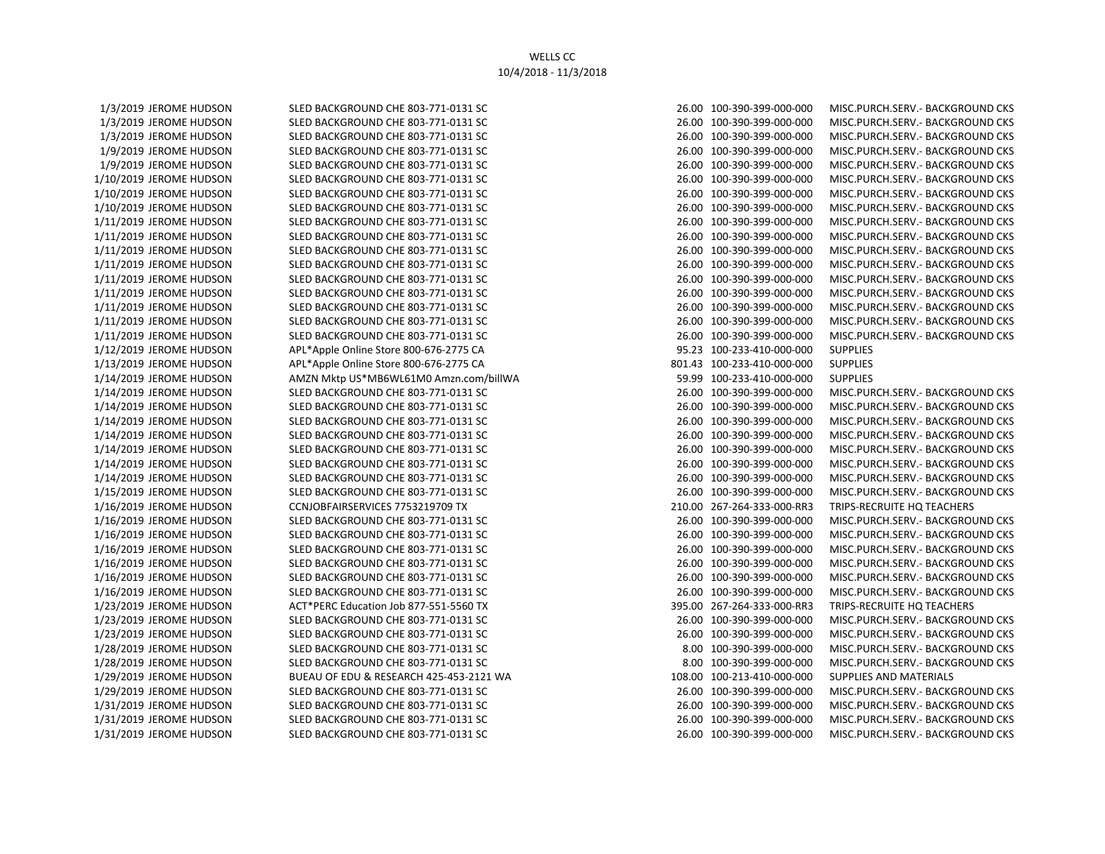1/12/2019 JEROME HUDSON APL\*Apple Online Store 800-676-2775 CA 95.23 100-233-410-000-000 SUPPLIES 1/13/2019 JEROME HUDSON APL\*Apple Online Store 800-676-2775 CA 801.43 100-233-410-000-000 SUPPLIES 1/14/2019 JEROME HUDSON AMZN Mktp US\*MB6WL61M0 Amzn.com/billWA 59.99 100-233-410-000-000 SUPPLIES

1/3/2019 JEROME HUDSON SLED BACKGROUND CHE 803-771-0131 SC 26.00 100-390-399-000-000 MISC.PURCH.SERV.- BACKGROUND CKS 1/3/2019 JEROME HUDSON SLED BACKGROUND CHE 803-771-0131 SC 26.00 100-390-399-000-000 MISC.PURCH.SERV.- BACKGROUND CKS 1/3/2019 JEROME HUDSON SLED BACKGROUND CHE 803-771-0131 SC 26.00 100-390-399-000-000 MISC.PURCH.SERV.- BACKGROUND CKS 1/9/2019 JEROME HUDSON SLED BACKGROUND CHE 803-771-0131 SC 26.00 100-390-399-000-000 MISC.PURCH.SERV.- BACKGROUND CKS 1/9/2019 JEROME HUDSON SLED BACKGROUND CHE 803-771-0131 SC 26.00 100-390-399-000-000 MISC.PURCH.SERV.- BACKGROUND CKS 1/10/2019 JEROME HUDSON SLED BACKGROUND CHE 803-771-0131 SC 26.00 100-390-399-000-000 MISC.PURCH.SERV.- BACKGROUND CKS 1/10/2019 JEROME HUDSON SLED BACKGROUND CHE 803-771-0131 SC 26.00 100-390-399-000-000 MISC.PURCH.SERV.- BACKGROUND CKS 1/10/2019 JEROME HUDSON SLED BACKGROUND CHE 803-771-0131 SC 26.00 100-390-399-000-000 MISC.PURCH.SERV.- BACKGROUND CKS 1/11/2019 JEROME HUDSON SLED BACKGROUND CHE 803-771-0131 SC 26.00 100-390-399-000-000 MISC.PURCH.SERV.- BACKGROUND CKS 1/11/2019 JEROME HUDSON SLED BACKGROUND CHE 803-771-0131 SC 26.00 100-390-399-000-000 MISC.PURCH.SERV.- BACKGROUND CKS 1/11/2019 JEROME HUDSON SLED BACKGROUND CHE 803-771-0131 SC 26.00 100-390-399-000-000 MISC.PURCH.SERV.- BACKGROUND CKS 1/11/2019 JEROME HUDSON SLED BACKGROUND CHE 803-771-0131 SC 26.00 100-390-399-000-000 MISC.PURCH.SERV.- BACKGROUND CKS 1/11/2019 JEROME HUDSON SLED BACKGROUND CHE 803-771-0131 SC 26.00 100-390-399-000-000 MISC.PURCH.SERV.- BACKGROUND CKS 1/11/2019 JEROME HUDSON SLED BACKGROUND CHE 803-771-0131 SC 26.00 100-390-399-000-000 MISC.PURCH.SERV.- BACKGROUND CKS 1/11/2019 JEROME HUDSON SLED BACKGROUND CHE 803-771-0131 SC 26.00 100-390-399-000-000 MISC.PURCH.SERV.- BACKGROUND CKS 1/11/2019 JEROME HUDSON SLED BACKGROUND CHE 803-771-0131 SC 26.00 100-390-399-000-000 MISC.PURCH.SERV.- BACKGROUND CKS 1/11/2019 JEROME HUDSON SLED BACKGROUND CHE 803-771-0131 SC 26.00 100-390-399-000-000 MISC.PURCH.SERV.- BACKGROUND CKS 1/14/2019 JEROME HUDSON SLED BACKGROUND CHE 803-771-0131 SC 26.00 100-390-399-000-000 MISC.PURCH.SERV.- BACKGROUND CKS 1/14/2019 JEROME HUDSON SLED BACKGROUND CHE 803-771-0131 SC 26.00 100-390-399-000-000 MISC.PURCH.SERV.- BACKGROUND CKS 1/14/2019 JEROME HUDSON SLED BACKGROUND CHE 803-771-0131 SC 26.00 100-390-399-000-000 MISC.PURCH.SERV.- BACKGROUND CKS 1/14/2019 JEROME HUDSON SLED BACKGROUND CHE 803-771-0131 SC 26.00 100-390-399-000-000 MISC.PURCH.SERV.- BACKGROUND CKS 1/14/2019 JEROME HUDSON SLED BACKGROUND CHE 803-771-0131 SC 26.00 100-390-399-000-000 MISC.PURCH.SERV.- BACKGROUND CKS 1/14/2019 JEROME HUDSON SLED BACKGROUND CHE 803-771-0131 SC 26.00 100-390-399-000-000 MISC.PURCH.SERV.- BACKGROUND CKS 1/14/2019 JEROME HUDSON SLED BACKGROUND CHE 803-771-0131 SC 26.00 100-390-399-000-000 MISC.PURCH.SERV.- BACKGROUND CKS 1/15/2019 JEROME HUDSON SLED BACKGROUND CHE 803-771-0131 SC 26.00 100-390-399-000-000 MISC.PURCH.SERV.- BACKGROUND CKS 1/16/2019 JEROME HUDSON CCNJOBFAIRSERVICES 7753219709 TX 210.00 267-264-333-000-RR3 TRIPS-RECRUITE HQ TEACHERS 1/16/2019 JEROME HUDSON SLED BACKGROUND CHE 803-771-0131 SC 26.00 100-390-399-000-000 MISC.PURCH.SERV.- BACKGROUND CKS 1/16/2019 JEROME HUDSON SLED BACKGROUND CHE 803-771-0131 SC 26.00 100-390-399-000-000 MISC.PURCH.SERV.- BACKGROUND CKS 1/16/2019 JEROME HUDSON SLED BACKGROUND CHE 803-771-0131 SC 26.00 100-390-399-000-000 MISC.PURCH.SERV.- BACKGROUND CKS 1/16/2019 JEROME HUDSON SLED BACKGROUND CHE 803-771-0131 SC 26.00 100-390-399-000-000 MISC.PURCH.SERV.- BACKGROUND CKS 1/16/2019 JEROME HUDSON SLED BACKGROUND CHE 803-771-0131 SC 26.00 100-390-399-000-000 MISC.PURCH.SERV.- BACKGROUND CKS 1/16/2019 JEROME HUDSON SLED BACKGROUND CHE 803-771-0131 SC 26.00 100-390-399-000-000 MISC.PURCH.SERV.- BACKGROUND CKS 1/23/2019 JEROME HUDSON ACT\*PERC Education Job 877-551-5560 TX 395.00 267-264-333-000-RR3 TRIPS-RECRUITE HQ TEACHERS 1/23/2019 JEROME HUDSON SLED BACKGROUND CHE 803-771-0131 SC 26.00 100-390-399-000-000 MISC.PURCH.SERV.- BACKGROUND CKS 1/23/2019 JEROME HUDSON SLED BACKGROUND CHE 803-771-0131 SC 26.00 100-390-399-000-000 MISC.PURCH.SERV.- BACKGROUND CKS 1/28/2019 JEROME HUDSON SLED BACKGROUND CHE 803-771-0131 SC 8.00 100-390-399-000-000 MISC.PURCH.SERV.- BACKGROUND CKS 1/28/2019 JEROME HUDSON SLED BACKGROUND CHE 803-771-0131 SC 8.00 100-390-399-000-000 MISC.PURCH.SERV.- BACKGROUND CKS 1/29/2019 JEROME HUDSON BUEAU OF EDU & RESEARCH 425-453-2121 WA 108.00 100-213-410-000-000 SUPPLIES AND MATERIALS 1/29/2019 JEROME HUDSON SLED BACKGROUND CHE 803-771-0131 SC 26.00 100-390-399-000-000 MISC.PURCH.SERV.- BACKGROUND CKS 1/31/2019 JEROME HUDSON SLED BACKGROUND CHE 803-771-0131 SC 26.00 100-390-399-000-000 MISC.PURCH.SERV.- BACKGROUND CKS 1/31/2019 JEROME HUDSON SLED BACKGROUND CHE 803-771-0131 SC 26.00 100-390-399-000-000 MISC.PURCH.SERV.- BACKGROUND CKS 1/31/2019 JEROME HUDSON SLED BACKGROUND CHE 803-771-0131 SC 26.00 100-390-399-000-000 MISC.PURCH.SERV.- BACKGROUND CKS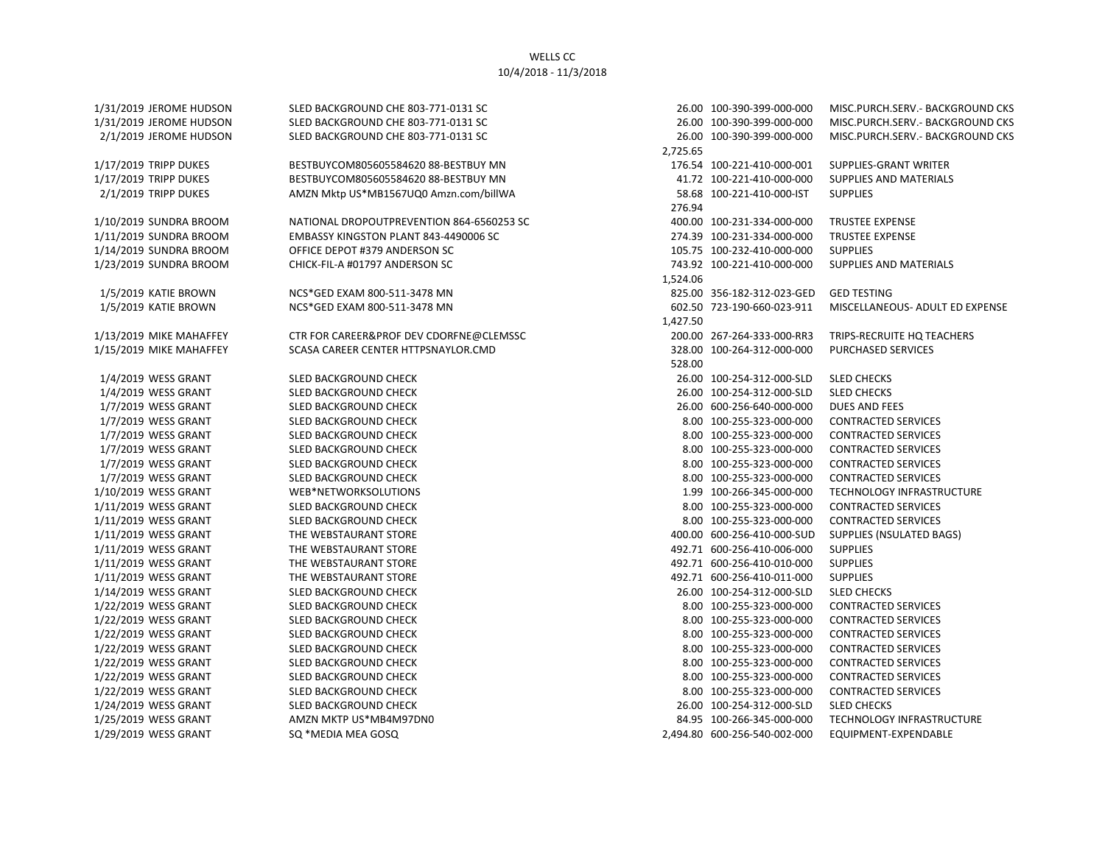| 1/31/2019 JEROME HUDSON | SLED BACKGROUND CHE 803-771-0131 SC       |          | 26.00 100-390-399-000-000    | MISC.PURCH.SERV.- BACKGROUND CKS |
|-------------------------|-------------------------------------------|----------|------------------------------|----------------------------------|
| 1/31/2019 JEROME HUDSON | SLED BACKGROUND CHE 803-771-0131 SC       |          | 26.00 100-390-399-000-000    | MISC.PURCH.SERV.- BACKGROUND CKS |
| 2/1/2019 JEROME HUDSON  | SLED BACKGROUND CHE 803-771-0131 SC       |          | 26.00 100-390-399-000-000    | MISC.PURCH.SERV.- BACKGROUND CKS |
|                         |                                           | 2,725.65 |                              |                                  |
| 1/17/2019 TRIPP DUKES   | BESTBUYCOM805605584620 88-BESTBUY MN      |          | 176.54 100-221-410-000-001   | SUPPLIES-GRANT WRITER            |
| 1/17/2019 TRIPP DUKES   | BESTBUYCOM805605584620 88-BESTBUY MN      |          | 41.72 100-221-410-000-000    | SUPPLIES AND MATERIALS           |
| 2/1/2019 TRIPP DUKES    | AMZN Mktp US*MB1567UQ0 Amzn.com/billWA    |          | 58.68 100-221-410-000-IST    | <b>SUPPLIES</b>                  |
|                         |                                           | 276.94   |                              |                                  |
| 1/10/2019 SUNDRA BROOM  | NATIONAL DROPOUTPREVENTION 864-6560253 SC |          | 400.00 100-231-334-000-000   | <b>TRUSTEE EXPENSE</b>           |
| 1/11/2019 SUNDRA BROOM  | EMBASSY KINGSTON PLANT 843-4490006 SC     |          | 274.39 100-231-334-000-000   | <b>TRUSTEE EXPENSE</b>           |
| 1/14/2019 SUNDRA BROOM  | OFFICE DEPOT #379 ANDERSON SC             |          | 105.75 100-232-410-000-000   | <b>SUPPLIES</b>                  |
| 1/23/2019 SUNDRA BROOM  | CHICK-FIL-A #01797 ANDERSON SC            |          | 743.92 100-221-410-000-000   | SUPPLIES AND MATERIALS           |
|                         |                                           | 1,524.06 |                              |                                  |
| 1/5/2019 KATIE BROWN    | NCS*GED EXAM 800-511-3478 MN              |          | 825.00 356-182-312-023-GED   | <b>GED TESTING</b>               |
| 1/5/2019 KATIE BROWN    | NCS*GED EXAM 800-511-3478 MN              |          | 602.50 723-190-660-023-911   | MISCELLANEOUS- ADULT ED EXPENSE  |
|                         |                                           | 1,427.50 |                              |                                  |
| 1/13/2019 MIKE MAHAFFEY | CTR FOR CAREER&PROF DEV CDORFNE@CLEMSSC   |          | 200.00 267-264-333-000-RR3   | TRIPS-RECRUITE HQ TEACHERS       |
| 1/15/2019 MIKE MAHAFFEY | SCASA CAREER CENTER HTTPSNAYLOR.CMD       |          | 328.00 100-264-312-000-000   | <b>PURCHASED SERVICES</b>        |
|                         |                                           | 528.00   |                              |                                  |
| 1/4/2019 WESS GRANT     | SLED BACKGROUND CHECK                     |          | 26.00 100-254-312-000-SLD    | <b>SLED CHECKS</b>               |
| 1/4/2019 WESS GRANT     | <b>SLED BACKGROUND CHECK</b>              |          | 26.00 100-254-312-000-SLD    | <b>SLED CHECKS</b>               |
| 1/7/2019 WESS GRANT     | SLED BACKGROUND CHECK                     |          | 26.00 600-256-640-000-000    | DUES AND FEES                    |
| 1/7/2019 WESS GRANT     | SLED BACKGROUND CHECK                     |          | 8.00 100-255-323-000-000     | <b>CONTRACTED SERVICES</b>       |
| 1/7/2019 WESS GRANT     | SLED BACKGROUND CHECK                     |          | 8.00 100-255-323-000-000     | <b>CONTRACTED SERVICES</b>       |
| 1/7/2019 WESS GRANT     | <b>SLED BACKGROUND CHECK</b>              |          | 8.00 100-255-323-000-000     | <b>CONTRACTED SERVICES</b>       |
| 1/7/2019 WESS GRANT     | SLED BACKGROUND CHECK                     |          | 8.00 100-255-323-000-000     | <b>CONTRACTED SERVICES</b>       |
| 1/7/2019 WESS GRANT     | <b>SLED BACKGROUND CHECK</b>              |          | 8.00 100-255-323-000-000     | <b>CONTRACTED SERVICES</b>       |
| 1/10/2019 WESS GRANT    | WEB*NETWORKSOLUTIONS                      |          | 1.99 100-266-345-000-000     | TECHNOLOGY INFRASTRUCTURE        |
| 1/11/2019 WESS GRANT    | SLED BACKGROUND CHECK                     |          | 8.00 100-255-323-000-000     | <b>CONTRACTED SERVICES</b>       |
| 1/11/2019 WESS GRANT    | SLED BACKGROUND CHECK                     |          | 8.00 100-255-323-000-000     | <b>CONTRACTED SERVICES</b>       |
| 1/11/2019 WESS GRANT    | THE WEBSTAURANT STORE                     |          | 400.00 600-256-410-000-SUD   | <b>SUPPLIES (NSULATED BAGS)</b>  |
| 1/11/2019 WESS GRANT    | THE WEBSTAURANT STORE                     |          | 492.71 600-256-410-006-000   | <b>SUPPLIES</b>                  |
| 1/11/2019 WESS GRANT    | THE WEBSTAURANT STORE                     |          | 492.71 600-256-410-010-000   | <b>SUPPLIES</b>                  |
| 1/11/2019 WESS GRANT    | THE WEBSTAURANT STORE                     |          | 492.71 600-256-410-011-000   | <b>SUPPLIES</b>                  |
| 1/14/2019 WESS GRANT    | SLED BACKGROUND CHECK                     |          | 26.00 100-254-312-000-SLD    | <b>SLED CHECKS</b>               |
| 1/22/2019 WESS GRANT    | SLED BACKGROUND CHECK                     |          | 8.00 100-255-323-000-000     | <b>CONTRACTED SERVICES</b>       |
| 1/22/2019 WESS GRANT    | <b>SLED BACKGROUND CHECK</b>              |          | 8.00 100-255-323-000-000     | <b>CONTRACTED SERVICES</b>       |
| 1/22/2019 WESS GRANT    | <b>SLED BACKGROUND CHECK</b>              |          | 8.00 100-255-323-000-000     | <b>CONTRACTED SERVICES</b>       |
| 1/22/2019 WESS GRANT    | SLED BACKGROUND CHECK                     |          | 8.00 100-255-323-000-000     | <b>CONTRACTED SERVICES</b>       |
| 1/22/2019 WESS GRANT    | SLED BACKGROUND CHECK                     |          | 8.00 100-255-323-000-000     | <b>CONTRACTED SERVICES</b>       |
| 1/22/2019 WESS GRANT    | SLED BACKGROUND CHECK                     |          | 8.00 100-255-323-000-000     | <b>CONTRACTED SERVICES</b>       |
| 1/22/2019 WESS GRANT    | SLED BACKGROUND CHECK                     |          | 8.00 100-255-323-000-000     | <b>CONTRACTED SERVICES</b>       |
| 1/24/2019 WESS GRANT    | <b>SLED BACKGROUND CHECK</b>              |          | 26.00 100-254-312-000-SLD    | <b>SLED CHECKS</b>               |
| 1/25/2019 WESS GRANT    | AMZN MKTP US*MB4M97DN0                    |          | 84.95 100-266-345-000-000    | TECHNOLOGY INFRASTRUCTURE        |
| 1/29/2019 WESS GRANT    | SQ *MEDIA MEA GOSQ                        |          | 2.494.80 600-256-540-002-000 | EQUIPMENT-EXPENDABLE             |

|          | 26.00 100-390-399-000-000                                | MISC.PURCH.SERV.- BACKGROUND CKS            |
|----------|----------------------------------------------------------|---------------------------------------------|
|          | 26.00 100-390-399-000-000                                | MISC.PURCH.SERV.- BACKGROUND CKS            |
|          | 26.00 100-390-399-000-000                                | MISC.PURCH.SERV.- BACKGROUND CKS            |
| 2,725.65 |                                                          |                                             |
|          | 176.54 100-221-410-000-001                               | SUPPLIES-GRANT WRITER                       |
|          | 41.72 100-221-410-000-000                                | <b>SUPPLIES AND MATERIALS</b>               |
|          | 58.68 100-221-410-000-IST                                | <b>SUPPLIES</b>                             |
| 276.94   |                                                          |                                             |
|          | 400.00 100-231-334-000-000                               | <b>TRUSTEE EXPENSE</b>                      |
|          | 274.39 100-231-334-000-000                               | <b>TRUSTEE EXPENSE</b>                      |
|          | 105.75 100-232-410-000-000                               | <b>SUPPLIES</b>                             |
|          | 743.92 100-221-410-000-000                               | <b>SUPPLIES AND MATERIALS</b>               |
| 1,524.06 |                                                          |                                             |
|          | 825.00 356-182-312-023-GED                               | <b>GED TESTING</b>                          |
|          | 602.50 723-190-660-023-911                               | MISCELLANEOUS- ADULT ED EXPENSE             |
| 1,427.50 |                                                          |                                             |
|          | 200.00 267-264-333-000-RR3                               | TRIPS-RECRUITE HQ TEACHERS                  |
|          | 328.00 100-264-312-000-000                               | <b>PURCHASED SERVICES</b>                   |
| 528.00   |                                                          |                                             |
|          | 26.00 100-254-312-000-SLD                                | <b>SLED CHECKS</b>                          |
|          | 26.00 100-254-312-000-SLD                                | <b>SLED CHECKS</b>                          |
|          | 26.00 600-256-640-000-000                                | <b>DUES AND FEES</b>                        |
|          | 8.00 100-255-323-000-000                                 | <b>CONTRACTED SERVICES</b>                  |
|          | 8.00 100-255-323-000-000                                 | <b>CONTRACTED SERVICES</b>                  |
|          | 8.00 100-255-323-000-000                                 | <b>CONTRACTED SERVICES</b>                  |
|          | 8.00 100-255-323-000-000                                 | <b>CONTRACTED SERVICES</b>                  |
|          | 8.00 100-255-323-000-000                                 | <b>CONTRACTED SERVICES</b>                  |
|          | 1.99 100-266-345-000-000                                 | TECHNOLOGY INFRASTRUCTURE                   |
|          | 8.00 100-255-323-000-000                                 | <b>CONTRACTED SERVICES</b>                  |
|          | 8.00 100-255-323-000-000                                 | <b>CONTRACTED SERVICES</b>                  |
|          | 400.00 600-256-410-000-SUD                               | SUPPLIES (NSULATED BAGS)<br><b>SUPPLIES</b> |
|          | 492.71 600-256-410-006-000<br>492.71 600-256-410-010-000 |                                             |
|          | 492.71 600-256-410-011-000                               | <b>SUPPLIES</b><br><b>SUPPLIES</b>          |
|          | 26.00 100-254-312-000-SLD                                | <b>SLED CHECKS</b>                          |
|          | 8.00 100-255-323-000-000                                 | <b>CONTRACTED SERVICES</b>                  |
|          | 8.00 100-255-323-000-000                                 | <b>CONTRACTED SERVICES</b>                  |
|          | 8.00 100-255-323-000-000                                 | <b>CONTRACTED SERVICES</b>                  |
|          | 8.00 100-255-323-000-000                                 | <b>CONTRACTED SERVICES</b>                  |
|          | 8.00 100-255-323-000-000                                 | <b>CONTRACTED SERVICES</b>                  |
|          | 8.00 100-255-323-000-000                                 | <b>CONTRACTED SERVICES</b>                  |
|          | 8.00 100-255-323-000-000                                 | <b>CONTRACTED SERVICES</b>                  |
|          | 26.00 100-254-312-000-SLD                                | <b>SLED CHECKS</b>                          |
|          | 84.95 100-266-345-000-000                                | TECHNOLOGY INFRASTRUCTURE                   |
|          | 2,494.80 600-256-540-002-000                             | EQUIPMENT-EXPENDABLE                        |
|          |                                                          |                                             |